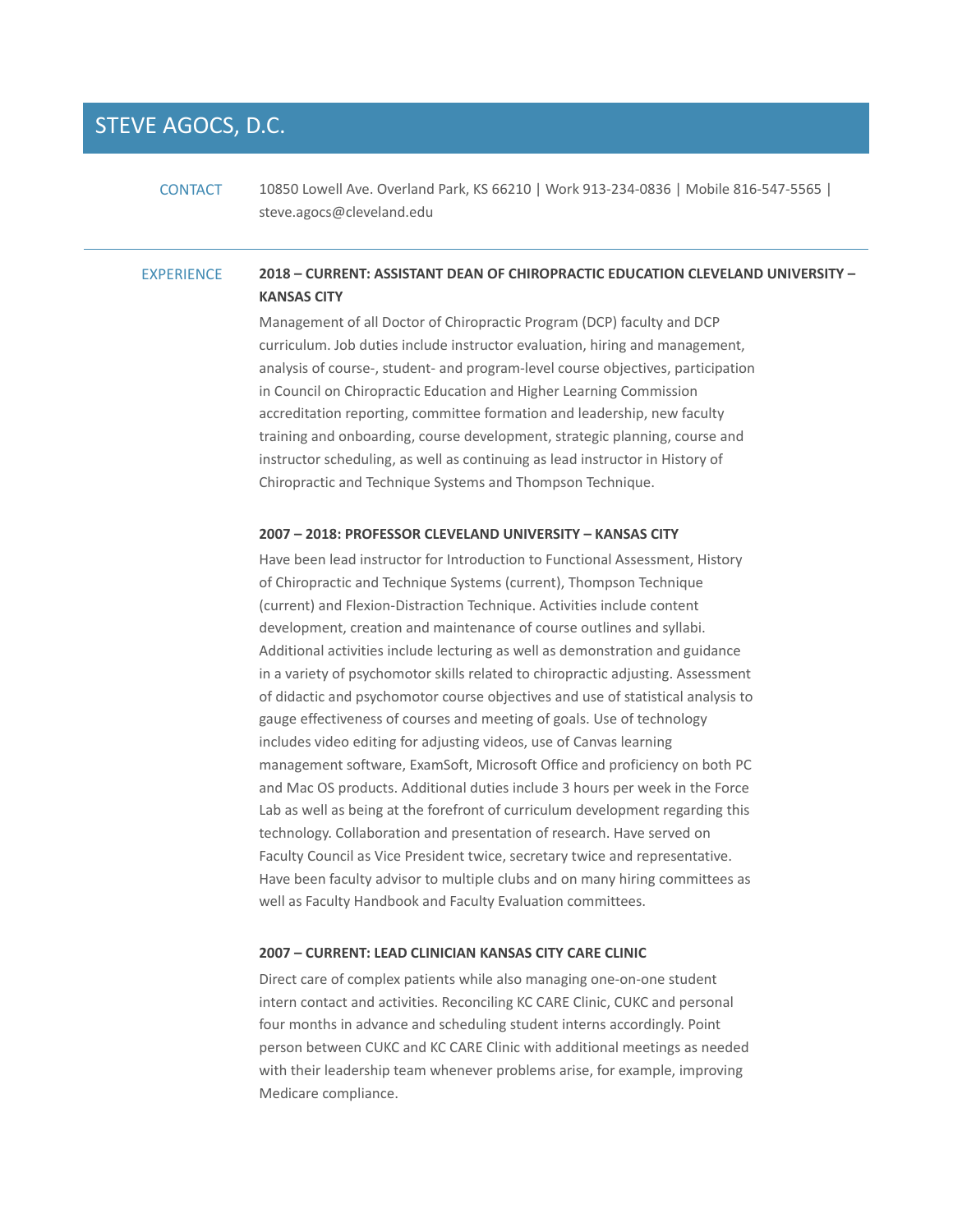# STEVE AGOCS, D.C.

CONTACT 10850 Lowell Ave. Overland Park, KS 66210 | Work 913‐234‐0836 | Mobile 816‐547‐5565 | steve.agocs@cleveland.edu

# EXPERIENCE **2018 – CURRENT: ASSISTANT DEAN OF CHIROPRACTIC EDUCATION CLEVELAND UNIVERSITY – KANSAS CITY**

Management of all Doctor of Chiropractic Program (DCP) faculty and DCP curriculum. Job duties include instructor evaluation, hiring and management, analysis of course‐, student‐ and program‐level course objectives, participation in Council on Chiropractic Education and Higher Learning Commission accreditation reporting, committee formation and leadership, new faculty training and onboarding, course development, strategic planning, course and instructor scheduling, as well as continuing as lead instructor in History of Chiropractic and Technique Systems and Thompson Technique.

### **2007 – 2018: PROFESSOR CLEVELAND UNIVERSITY – KANSAS CITY**

Have been lead instructor for Introduction to Functional Assessment, History of Chiropractic and Technique Systems (current), Thompson Technique (current) and Flexion‐Distraction Technique. Activities include content development, creation and maintenance of course outlines and syllabi. Additional activities include lecturing as well as demonstration and guidance in a variety of psychomotor skills related to chiropractic adjusting. Assessment of didactic and psychomotor course objectives and use of statistical analysis to gauge effectiveness of courses and meeting of goals. Use of technology includes video editing for adjusting videos, use of Canvas learning management software, ExamSoft, Microsoft Office and proficiency on both PC and Mac OS products. Additional duties include 3 hours per week in the Force Lab as well as being at the forefront of curriculum development regarding this technology. Collaboration and presentation of research. Have served on Faculty Council as Vice President twice, secretary twice and representative. Have been faculty advisor to multiple clubs and on many hiring committees as well as Faculty Handbook and Faculty Evaluation committees.

## **2007 – CURRENT: LEAD CLINICIAN KANSAS CITY CARE CLINIC**

Direct care of complex patients while also managing one‐on‐one student intern contact and activities. Reconciling KC CARE Clinic, CUKC and personal four months in advance and scheduling student interns accordingly. Point person between CUKC and KC CARE Clinic with additional meetings as needed with their leadership team whenever problems arise, for example, improving Medicare compliance.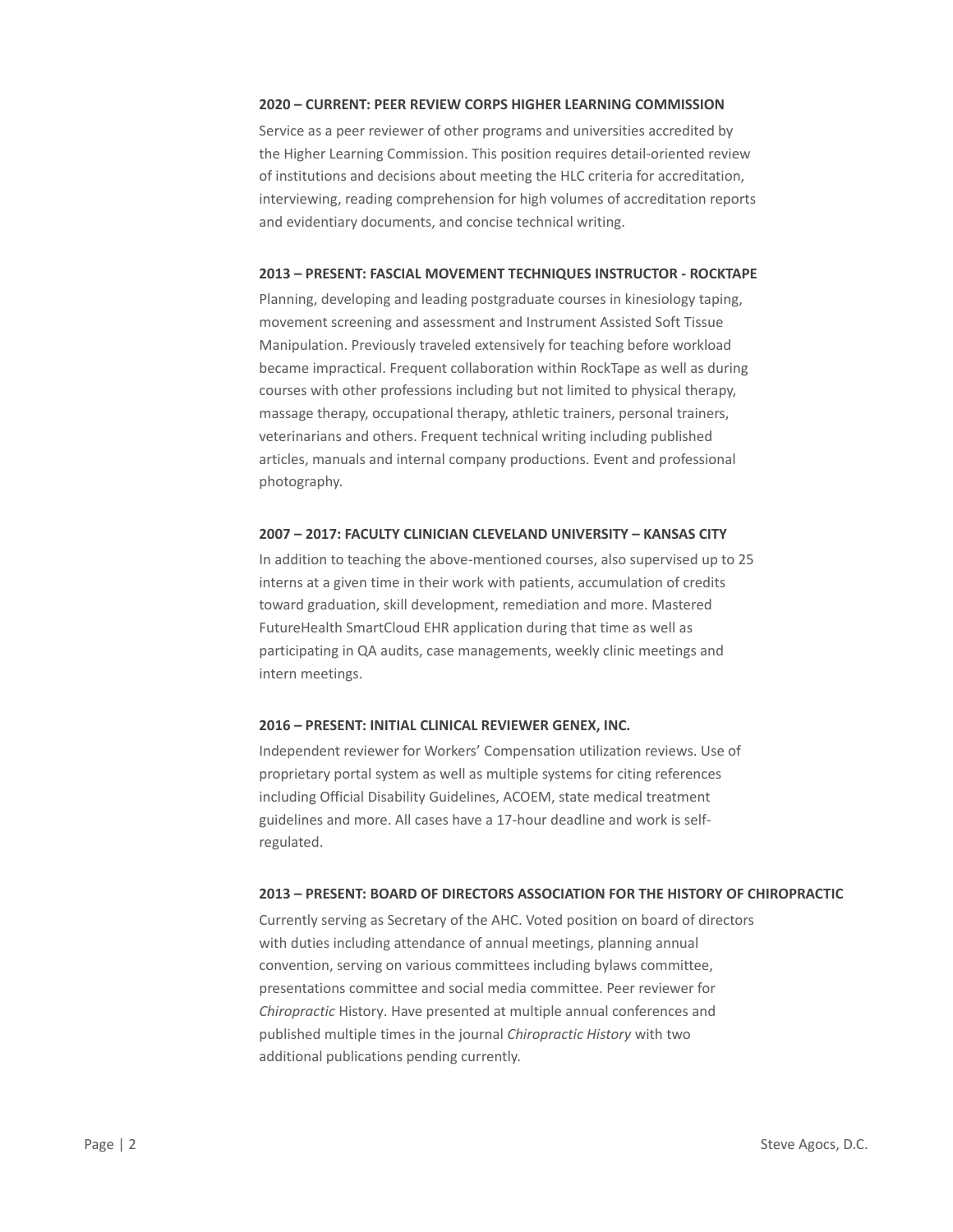## **2020 – CURRENT: PEER REVIEW CORPS HIGHER LEARNING COMMISSION**

Service as a peer reviewer of other programs and universities accredited by the Higher Learning Commission. This position requires detail‐oriented review of institutions and decisions about meeting the HLC criteria for accreditation, interviewing, reading comprehension for high volumes of accreditation reports and evidentiary documents, and concise technical writing.

## **2013 – PRESENT: FASCIAL MOVEMENT TECHNIQUES INSTRUCTOR ‐ ROCKTAPE**

Planning, developing and leading postgraduate courses in kinesiology taping, movement screening and assessment and Instrument Assisted Soft Tissue Manipulation. Previously traveled extensively for teaching before workload became impractical. Frequent collaboration within RockTape as well as during courses with other professions including but not limited to physical therapy, massage therapy, occupational therapy, athletic trainers, personal trainers, veterinarians and others. Frequent technical writing including published articles, manuals and internal company productions. Event and professional photography.

## **2007 – 2017: FACULTY CLINICIAN CLEVELAND UNIVERSITY – KANSAS CITY**

In addition to teaching the above‐mentioned courses, also supervised up to 25 interns at a given time in their work with patients, accumulation of credits toward graduation, skill development, remediation and more. Mastered FutureHealth SmartCloud EHR application during that time as well as participating in QA audits, case managements, weekly clinic meetings and intern meetings.

## **2016 – PRESENT: INITIAL CLINICAL REVIEWER GENEX, INC.**

Independent reviewer for Workers' Compensation utilization reviews. Use of proprietary portal system as well as multiple systems for citing references including Official Disability Guidelines, ACOEM, state medical treatment guidelines and more. All cases have a 17‐hour deadline and work is self‐ regulated.

#### **2013 – PRESENT: BOARD OF DIRECTORS ASSOCIATION FOR THE HISTORY OF CHIROPRACTIC**

Currently serving as Secretary of the AHC. Voted position on board of directors with duties including attendance of annual meetings, planning annual convention, serving on various committees including bylaws committee, presentations committee and social media committee. Peer reviewer for *Chiropractic* History. Have presented at multiple annual conferences and published multiple times in the journal *Chiropractic History* with two additional publications pending currently.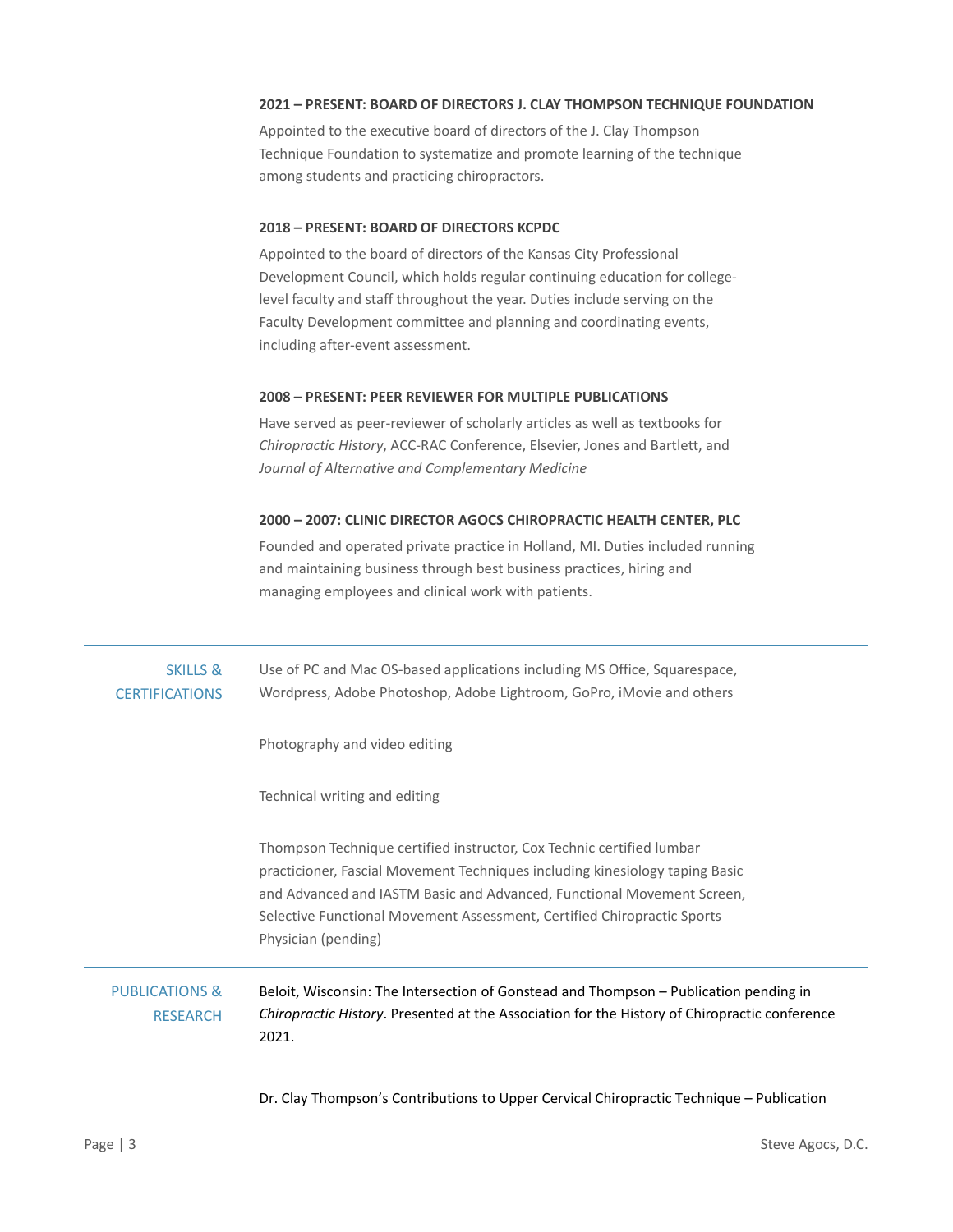## **2021 – PRESENT: BOARD OF DIRECTORS J. CLAY THOMPSON TECHNIQUE FOUNDATION**

Appointed to the executive board of directors of the J. Clay Thompson Technique Foundation to systematize and promote learning of the technique among students and practicing chiropractors.

## **2018 – PRESENT: BOARD OF DIRECTORS KCPDC**

Appointed to the board of directors of the Kansas City Professional Development Council, which holds regular continuing education for college‐ level faculty and staff throughout the year. Duties include serving on the Faculty Development committee and planning and coordinating events, including after‐event assessment.

## **2008 – PRESENT: PEER REVIEWER FOR MULTIPLE PUBLICATIONS**

Have served as peer‐reviewer of scholarly articles as well as textbooks for *Chiropractic History*, ACC‐RAC Conference, Elsevier, Jones and Bartlett, and *Journal of Alternative and Complementary Medicine* 

## **2000 – 2007: CLINIC DIRECTOR AGOCS CHIROPRACTIC HEALTH CENTER, PLC**

Founded and operated private practice in Holland, MI. Duties included running and maintaining business through best business practices, hiring and managing employees and clinical work with patients.

| <b>SKILLS &amp;</b><br><b>CERTIFICATIONS</b> | Use of PC and Mac OS-based applications including MS Office, Squarespace,<br>Wordpress, Adobe Photoshop, Adobe Lightroom, GoPro, iMovie and others                                                                                                                                                                                |
|----------------------------------------------|-----------------------------------------------------------------------------------------------------------------------------------------------------------------------------------------------------------------------------------------------------------------------------------------------------------------------------------|
|                                              | Photography and video editing                                                                                                                                                                                                                                                                                                     |
|                                              | Technical writing and editing                                                                                                                                                                                                                                                                                                     |
|                                              | Thompson Technique certified instructor, Cox Technic certified lumbar<br>practicioner, Fascial Movement Techniques including kinesiology taping Basic<br>and Advanced and IASTM Basic and Advanced, Functional Movement Screen,<br>Selective Functional Movement Assessment, Certified Chiropractic Sports<br>Physician (pending) |
| <b>PUBLICATIONS &amp;</b><br><b>RESEARCH</b> | Beloit, Wisconsin: The Intersection of Gonstead and Thompson – Publication pending in<br><i>Chiropractic History.</i> Presented at the Association for the History of Chiropractic conference<br>2021.                                                                                                                            |
|                                              | Dr. Clay Thompson's Contributions to Upper Cervical Chiropractic Technique - Publication                                                                                                                                                                                                                                          |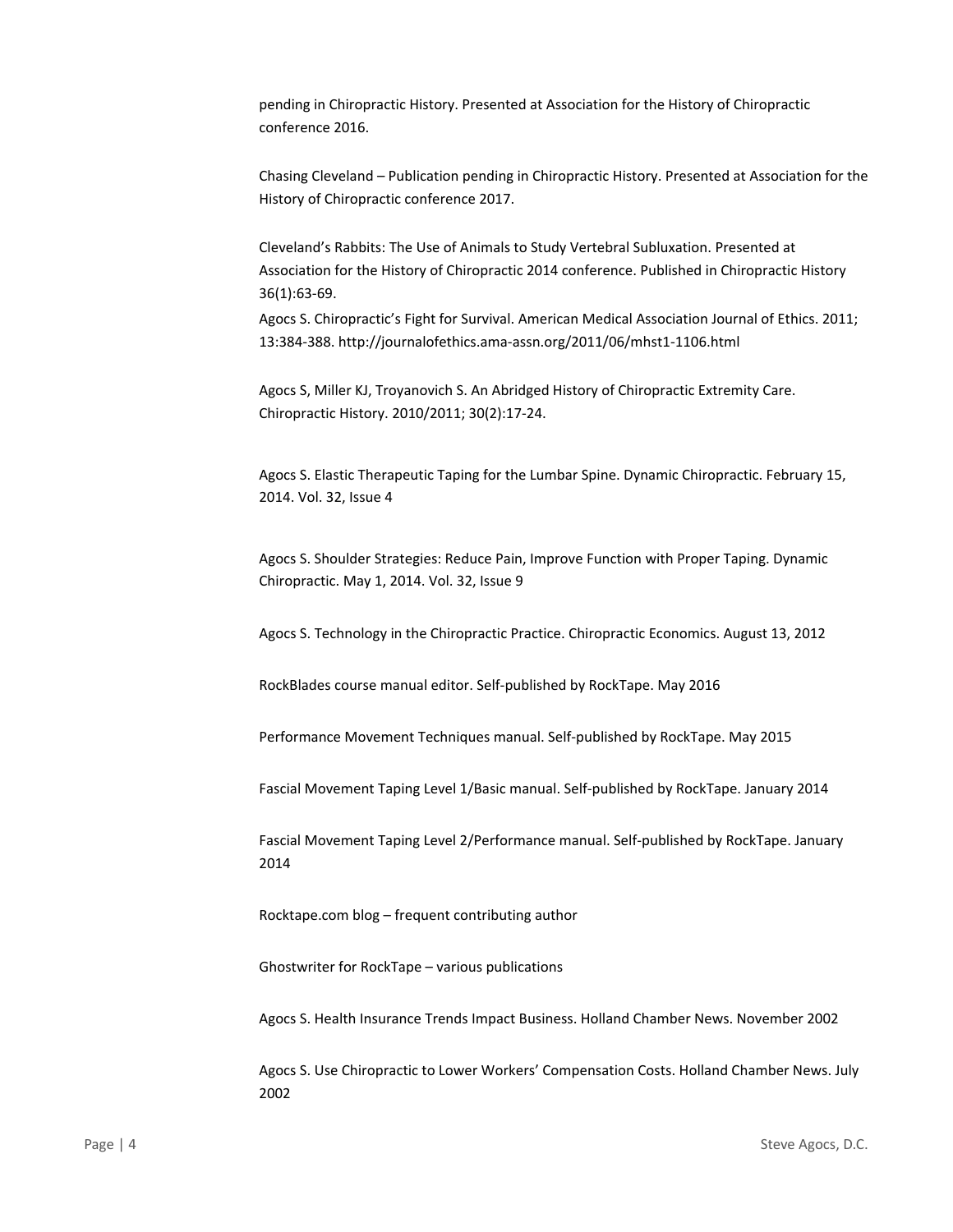pending in Chiropractic History. Presented at Association for the History of Chiropractic conference 2016.

Chasing Cleveland – Publication pending in Chiropractic History. Presented at Association for the History of Chiropractic conference 2017.

Cleveland's Rabbits: The Use of Animals to Study Vertebral Subluxation. Presented at Association for the History of Chiropractic 2014 conference. Published in Chiropractic History 36(1):63‐69.

Agocs S. Chiropractic's Fight for Survival. American Medical Association Journal of Ethics. 2011; 13:384‐388. http://journalofethics.ama‐assn.org/2011/06/mhst1‐1106.html

Agocs S, Miller KJ, Troyanovich S. An Abridged History of Chiropractic Extremity Care. Chiropractic History. 2010/2011; 30(2):17‐24.

Agocs S. Elastic Therapeutic Taping for the Lumbar Spine. Dynamic Chiropractic. February 15, 2014. Vol. 32, Issue 4

Agocs S. Shoulder Strategies: Reduce Pain, Improve Function with Proper Taping. Dynamic Chiropractic. May 1, 2014. Vol. 32, Issue 9

Agocs S. Technology in the Chiropractic Practice. Chiropractic Economics. August 13, 2012

RockBlades course manual editor. Self‐published by RockTape. May 2016

Performance Movement Techniques manual. Self‐published by RockTape. May 2015

Fascial Movement Taping Level 1/Basic manual. Self‐published by RockTape. January 2014

Fascial Movement Taping Level 2/Performance manual. Self‐published by RockTape. January 2014

Rocktape.com blog – frequent contributing author

Ghostwriter for RockTape – various publications

Agocs S. Health Insurance Trends Impact Business. Holland Chamber News. November 2002

Agocs S. Use Chiropractic to Lower Workers' Compensation Costs. Holland Chamber News. July 2002